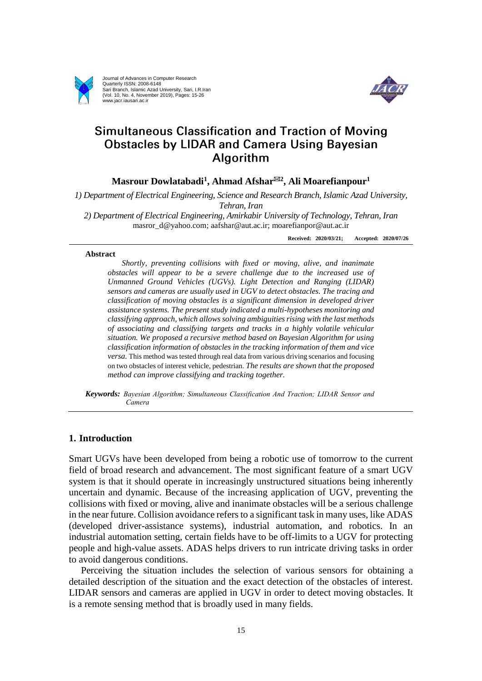

Journal of Advances in Computer Research Quarterly ISSN: 2008-6148 Sari Branch, Islamic Azad University, Sari, I.R.Iran (Vol. 10, No. 4, November 2019), Pages: 15-26 www.jacr.iausari.ac.ir



# Simultaneous Classification and Traction of Moving **Obstacles by LIDAR and Camera Using Bayesian** Algorithm

**Masrour Dowlatabadi<sup>1</sup> , Ahmad Afshar<sup>2</sup> , Ali Moarefianpour<sup>1</sup>**

*1) Department of Electrical Engineering, Science and Research Branch, Islamic Azad University, Tehran, Iran*

*2) Department of Electrical Engineering, Amirkabir University of Technology, Tehran, Iran* masror\_d@yahoo.com; aafshar@aut.ac.ir; moarefianpor@aut.ac.ir

**Received: 2020/03/21; Accepted: 2020/07/26**

#### **Abstract**

*Shortly, preventing collisions with fixed or moving, alive, and inanimate obstacles will appear to be a severe challenge due to the increased use of Unmanned Ground Vehicles (UGVs). Light Detection and Ranging (LIDAR) sensors and cameras are usually used in UGV to detect obstacles. The tracing and classification of moving obstacles is a significant dimension in developed driver assistance systems. The present study indicated a multi-hypotheses monitoring and classifying approach, which allows solving ambiguities rising with the last methods of associating and classifying targets and tracks in a highly volatile vehicular situation. We proposed a recursive method based on Bayesian Algorithm for using classification information of obstacles in the tracking information of them and vice versa.* This method was tested through real data from various driving scenarios and focusing on two obstacles of interest vehicle, pedestrian. *The results are shown that the proposed method can improve classifying and tracking together.*

*Keywords: Bayesian Algorithm; Simultaneous Classification And Traction; LIDAR Sensor and Camera*

#### **1. Introduction**

Smart UGVs have been developed from being a robotic use of tomorrow to the current field of broad research and advancement. The most significant feature of a smart UGV system is that it should operate in increasingly unstructured situations being inherently uncertain and dynamic. Because of the increasing application of UGV, preventing the collisions with fixed or moving, alive and inanimate obstacles will be a serious challenge in the near future. Collision avoidance refers to a significant task in many uses, like ADAS (developed driver-assistance systems), industrial automation, and robotics. In an industrial automation setting, certain fields have to be off-limits to a UGV for protecting people and high-value assets. ADAS helps drivers to run intricate driving tasks in order to avoid dangerous conditions.

 Perceiving the situation includes the selection of various sensors for obtaining a detailed description of the situation and the exact detection of the obstacles of interest. LIDAR sensors and cameras are applied in UGV in order to detect moving obstacles. It is a remote sensing method that is broadly used in many fields.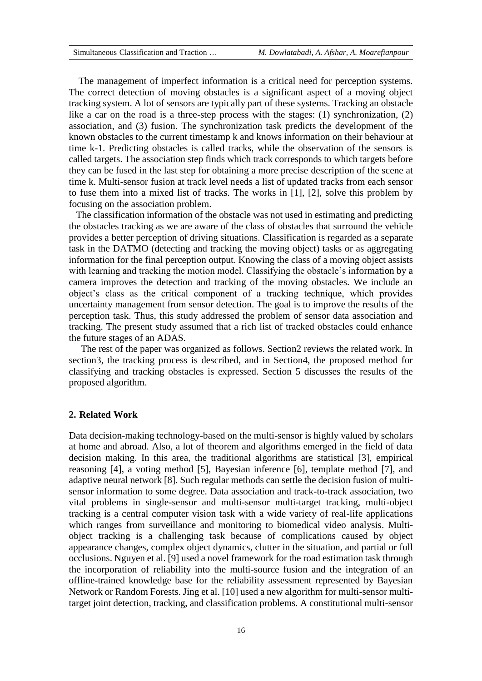The management of imperfect information is a critical need for perception systems. The correct detection of moving obstacles is a significant aspect of a moving object tracking system. A lot of sensors are typically part of these systems. Tracking an obstacle like a car on the road is a three-step process with the stages: (1) synchronization, (2) association, and (3) fusion. The synchronization task predicts the development of the known obstacles to the current timestamp k and knows information on their behaviour at time k-1. Predicting obstacles is called tracks, while the observation of the sensors is called targets. The association step finds which track corresponds to which targets before they can be fused in the last step for obtaining a more precise description of the scene at time k. Multi-sensor fusion at track level needs a list of updated tracks from each sensor to fuse them into a mixed list of tracks. The works in [1], [2], solve this problem by focusing on the association problem.

 The classification information of the obstacle was not used in estimating and predicting the obstacles tracking as we are aware of the class of obstacles that surround the vehicle provides a better perception of driving situations. Classification is regarded as a separate task in the DATMO (detecting and tracking the moving object) tasks or as aggregating information for the final perception output. Knowing the class of a moving object assists with learning and tracking the motion model. Classifying the obstacle's information by a camera improves the detection and tracking of the moving obstacles. We include an object's class as the critical component of a tracking technique, which provides uncertainty management from sensor detection. The goal is to improve the results of the perception task. Thus, this study addressed the problem of sensor data association and tracking. The present study assumed that a rich list of tracked obstacles could enhance the future stages of an ADAS.

 The rest of the paper was organized as follows. Section2 reviews the related work. In section3, the tracking process is described, and in Section4, the proposed method for classifying and tracking obstacles is expressed. Section 5 discusses the results of the proposed algorithm.

#### **2. Related Work**

Data decision-making technology-based on the multi-sensor is highly valued by scholars at home and abroad. Also, a lot of theorem and algorithms emerged in the field of data decision making. In this area, the traditional algorithms are statistical [3], empirical reasoning [4], a voting method [5], Bayesian inference [6], template method [7], and adaptive neural network [8]. Such regular methods can settle the decision fusion of multisensor information to some degree. Data association and track-to-track association, two vital problems in single-sensor and multi-sensor multi-target tracking, multi-object tracking is a central computer vision task with a wide variety of real-life applications which ranges from surveillance and monitoring to biomedical video analysis. Multiobject tracking is a challenging task because of complications caused by object appearance changes, complex object dynamics, clutter in the situation, and partial or full occlusions. Nguyen et al. [9] used a novel framework for the road estimation task through the incorporation of reliability into the multi-source fusion and the integration of an offline-trained knowledge base for the reliability assessment represented by Bayesian Network or Random Forests. Jing et al. [10] used a new algorithm for multi-sensor multitarget joint detection, tracking, and classification problems. A constitutional multi-sensor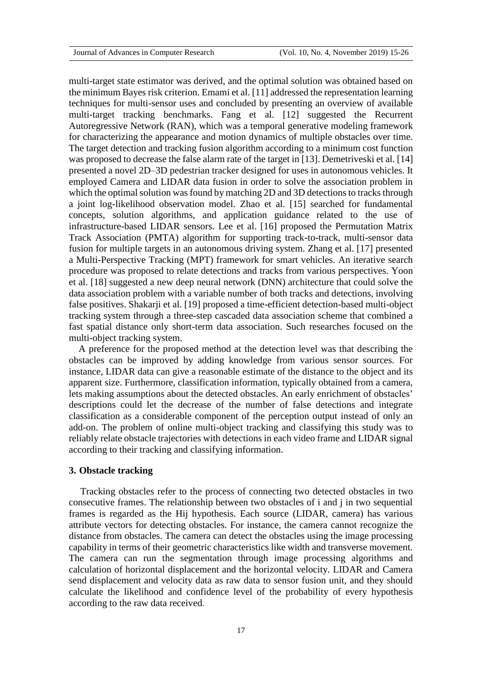multi-target state estimator was derived, and the optimal solution was obtained based on the minimum Bayes risk criterion. Emami et al. [11] addressed the representation learning techniques for multi-sensor uses and concluded by presenting an overview of available multi-target tracking benchmarks. Fang et al. [12] suggested the Recurrent Autoregressive Network (RAN), which was a temporal generative modeling framework for characterizing the appearance and motion dynamics of multiple obstacles over time. The target detection and tracking fusion algorithm according to a minimum cost function was proposed to decrease the false alarm rate of the target in [13]. Demetriveski et al. [14] presented a novel 2D–3D pedestrian tracker designed for uses in autonomous vehicles. It employed Camera and LIDAR data fusion in order to solve the association problem in which the optimal solution was found by matching 2D and 3D detections to tracks through a joint log-likelihood observation model. Zhao et al. [15] searched for fundamental concepts, solution algorithms, and application guidance related to the use of infrastructure-based LIDAR sensors. Lee et al. [16] proposed the Permutation Matrix Track Association (PMTA) algorithm for supporting track-to-track, multi-sensor data fusion for multiple targets in an autonomous driving system. Zhang et al. [17] presented a Multi-Perspective Tracking (MPT) framework for smart vehicles. An iterative search procedure was proposed to relate detections and tracks from various perspectives. Yoon et al. [18] suggested a new deep neural network (DNN) architecture that could solve the data association problem with a variable number of both tracks and detections, involving false positives. Shakarji et al. [19] proposed a time-efficient detection-based multi-object tracking system through a three-step cascaded data association scheme that combined a fast spatial distance only short-term data association. Such researches focused on the multi-object tracking system.

 A preference for the proposed method at the detection level was that describing the obstacles can be improved by adding knowledge from various sensor sources. For instance, LIDAR data can give a reasonable estimate of the distance to the object and its apparent size. Furthermore, classification information, typically obtained from a camera, lets making assumptions about the detected obstacles. An early enrichment of obstacles' descriptions could let the decrease of the number of false detections and integrate classification as a considerable component of the perception output instead of only an add-on. The problem of online multi-object tracking and classifying this study was to reliably relate obstacle trajectories with detections in each video frame and LIDAR signal according to their tracking and classifying information.

## **3. Obstacle tracking**

Tracking obstacles refer to the process of connecting two detected obstacles in two consecutive frames. The relationship between two obstacles of i and j in two sequential frames is regarded as the Hij hypothesis. Each source (LIDAR, camera) has various attribute vectors for detecting obstacles. For instance, the camera cannot recognize the distance from obstacles. The camera can detect the obstacles using the image processing capability in terms of their geometric characteristics like width and transverse movement. The camera can run the segmentation through image processing algorithms and calculation of horizontal displacement and the horizontal velocity. LIDAR and Camera send displacement and velocity data as raw data to sensor fusion unit, and they should calculate the likelihood and confidence level of the probability of every hypothesis according to the raw data received.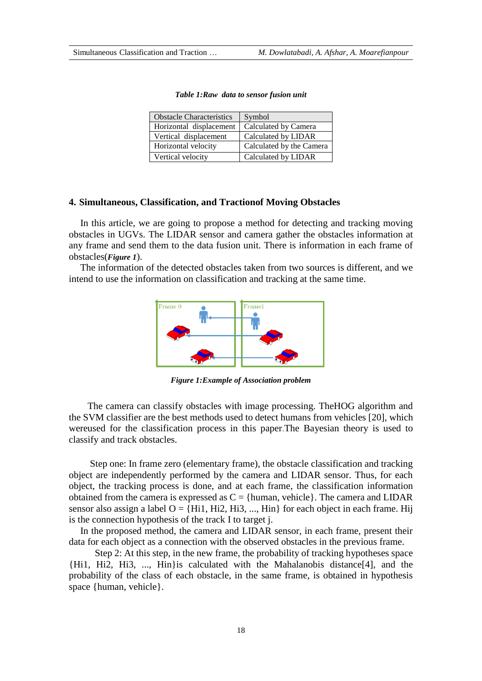| <b>Obstacle Characteristics</b> | Symbol                   |
|---------------------------------|--------------------------|
| Horizontal displacement         | Calculated by Camera     |
| Vertical displacement           | Calculated by LIDAR      |
| Horizontal velocity             | Calculated by the Camera |
| Vertical velocity               | Calculated by LIDAR      |

| Table 1: Raw data to sensor fusion unit |  |  |
|-----------------------------------------|--|--|
|                                         |  |  |

#### **4. Simultaneous, Classification, and Tractionof Moving Obstacles**

In this article, we are going to propose a method for detecting and tracking moving obstacles in UGVs. The LIDAR sensor and camera gather the obstacles information at any frame and send them to the data fusion unit. There is information in each frame of obstacles(*Figure 1*).

The information of the detected obstacles taken from two sources is different, and we intend to use the information on classification and tracking at the same time.



*Figure 1:Example of Association problem*

 The camera can classify obstacles with image processing. TheHOG algorithm and the SVM classifier are the best methods used to detect humans from vehicles [20], which wereused for the classification process in this paper.The Bayesian theory is used to classify and track obstacles.

 Step one: In frame zero (elementary frame), the obstacle classification and tracking object are independently performed by the camera and LIDAR sensor. Thus, for each object, the tracking process is done, and at each frame, the classification information obtained from the camera is expressed as  $C = \{human, vehicle\}$ . The camera and LIDAR sensor also assign a label  $O = \{Hi1, Hi2, Hi3, \dots, Hin \}$  for each object in each frame. Hij is the connection hypothesis of the track I to target j.

In the proposed method, the camera and LIDAR sensor, in each frame, present their data for each object as a connection with the observed obstacles in the previous frame.

 Step 2: At this step, in the new frame, the probability of tracking hypotheses space {Hi1, Hi2, Hi3, ..., Hin}is calculated with the Mahalanobis distance[4], and the probability of the class of each obstacle, in the same frame, is obtained in hypothesis space {human, vehicle}.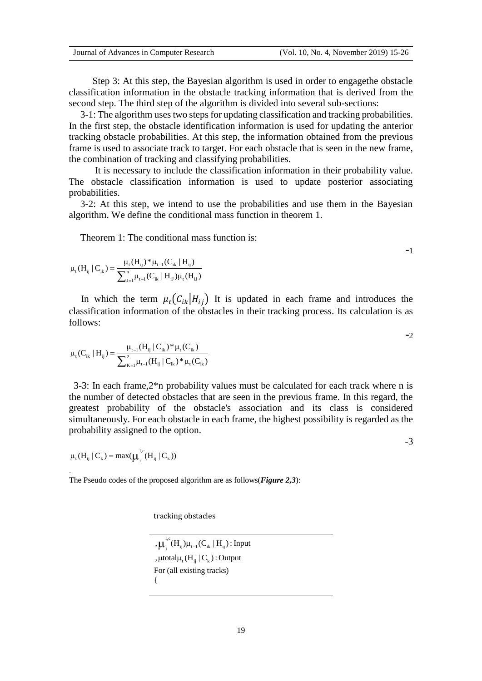Step 3: At this step, the Bayesian algorithm is used in order to engagethe obstacle classification information in the obstacle tracking information that is derived from the second step. The third step of the algorithm is divided into several sub-sections:

3-1: The algorithm uses two steps for updating classification and tracking probabilities. In the first step, the obstacle identification information is used for updating the anterior tracking obstacle probabilities. At this step, the information obtained from the previous frame is used to associate track to target. For each obstacle that is seen in the new frame, the combination of tracking and classifying probabilities.

 It is necessary to include the classification information in their probability value. The obstacle classification information is used to update posterior associating probabilities.

3-2: At this step, we intend to use the probabilities and use them in the Bayesian algorithm. We define the conditional mass function in theorem 1.

Theorem 1: The conditional mass function is:

$$
\mu_{\rm t}(H_{\rm ij}\,|\,C_{\rm ik}\,) = \frac{\mu_{\rm t}(H_{\rm ij})^*\mu_{\rm t-l}(C_{\rm ik}\,|\,H_{\rm ij})}{\sum_{\rm J=1}^n\mu_{\rm t-l}(C_{\rm ik}\,|\,H_{\rm ij})\mu_{\rm t}(H_{\rm ij})}
$$

In which the term  $\mu_t(C_{ik}|H_{ij})$  It is updated in each frame and introduces the classification information of the obstacles in their tracking process. Its calculation is as follows:

$$
\mu_t(C_{ik} \mid H_{ij}) = \frac{\mu_{t-1}(H_{ij} \mid C_{ik})^* \mu_t(C_{ik})}{\sum_{K=1}^2 \mu_{t-1}(H_{ij} \mid C_{ik})^* \mu_t(C_{ik})}
$$

 3-3: In each frame,2\*n probability values must be calculated for each track where n is the number of detected obstacles that are seen in the previous frame. In this regard, the greatest probability of the obstacle's association and its class is considered simultaneously. For each obstacle in each frame, the highest possibility is regarded as the probability assigned to the option.

 $\mu_t(H_{ij} | C_k) = \max(\mu_t^{l,c}(H_{ij} | C_k))$ 

.

The Pseudo codes of the proposed algorithm are as follows(*Figure 2,3*):

tracking obstacles

 $\mu_t^{l,c}(H_{ij})\mu_{t-l}(C_{ik}\mid H_{ij})$ : Input ,  $\mu$ total $\mu_t$  (H<sub>ij</sub> | C<sub>k</sub>) : Output For (all existing tracks) {

-3

-1

 $-2$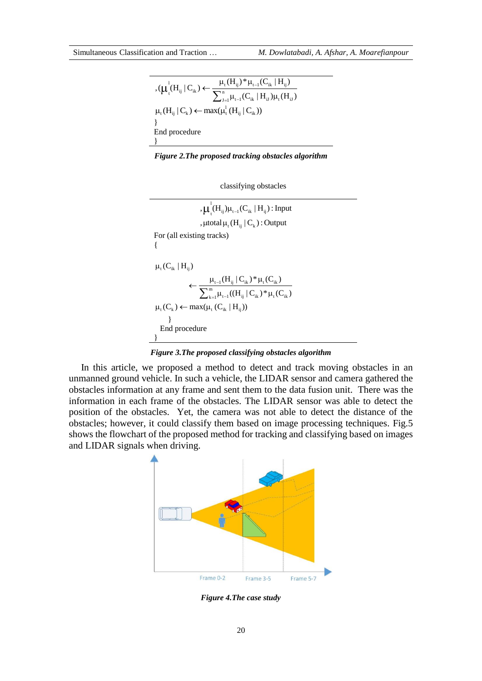$$
\begin{aligned} &\eta_{\mathcal{H}_{t}}(H_{ij}\,|\,C_{ik}) \!\leftarrow\! \frac{\mu_{t}(H_{ij})^*\mu_{t\text{-}1}(C_{ik}\,|\,H_{ij})}{\sum_{J=1}^n \mu_{t\text{-}1}(C_{ik}\,|\,H_{iJ})\mu_{t}(H_{iJ})} \\ &\mu_{t}(H_{ij}\,|\,C_{k}) \!\leftarrow\! \max(\mu_{t}^{l}\,(H_{ij}\,|\,C_{ik})) \\ &\text{and procedure} \\ &\text{for} \end{aligned}
$$

*Figure 2.The proposed tracking obstacles algorithm*



 $\mu_t^1(H_{ij})\mu_{t-1}(C_{ik}\mid H_{ij})$ : Input ,  $\mu$ total  $\mu_t$  (H<sub>ij</sub> | C<sub>k</sub>) : Output For (all existing tracks) {  $\mu_t(C_{ik} | H_{ij})$  $\frac{\mu_{t-1}(H_{ij} | C_{ik})^* \mu_t(C_{ik})}{\mu_{t-1} \mu_{t-1}((H_{ij} | C_{ik})^* \mu_t(C_{ik}))}$  $\sum_{k=1}^{\infty} \mu_{t-1}((\mathbf{H}_{ij})$ <br> $\mu_t(C_k) \leftarrow \max(\mu_t(C_{ik} | H_{ij}))$  $(H_{_{ij}} | C_{ik})^* \mu_t(C_{ik})$  $\frac{1}{\mu_{t-1}((H_{ij} | C_{ik})^* \mu_t(C_{ik})^*)}$  $_{-1}$  $\mu_{t-}$  $\begin{aligned} &\varphi^{j} \leftarrow \frac{\mu_{t-1}(H_{ij} \,|\, C_{ik})^* \mu_t(C_{ik})}{\sum_{k=1}^m \mu_{t-1}((H_{ij} \,|\, C_{ik})^* \mu_t(C_{ik}))}, \end{aligned}$  } End procedure }

## *Figure 3.The proposed classifying obstacles algorithm*

 In this article, we proposed a method to detect and track moving obstacles in an unmanned ground vehicle. In such a vehicle, the LIDAR sensor and camera gathered the obstacles information at any frame and sent them to the data fusion unit. There was the information in each frame of the obstacles. The LIDAR sensor was able to detect the position of the obstacles. Yet, the camera was not able to detect the distance of the obstacles; however, it could classify them based on image processing techniques. Fig.5 shows the flowchart of the proposed method for tracking and classifying based on images and LIDAR signals when driving.



*Figure 4.The case study*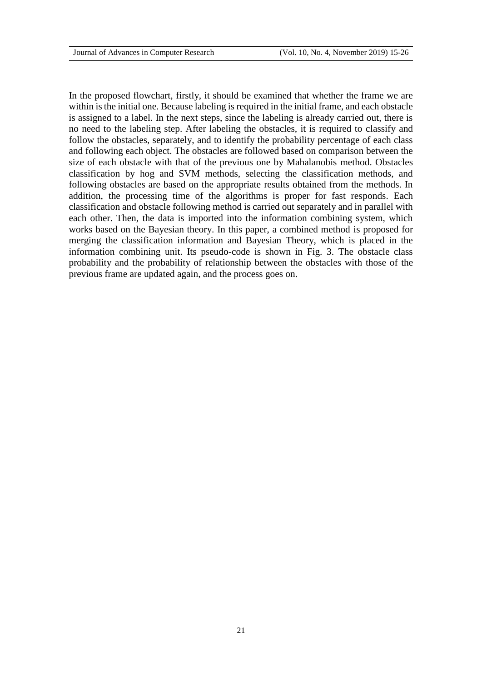In the proposed flowchart, firstly, it should be examined that whether the frame we are within is the initial one. Because labeling is required in the initial frame, and each obstacle is assigned to a label. In the next steps, since the labeling is already carried out, there is no need to the labeling step. After labeling the obstacles, it is required to classify and follow the obstacles, separately, and to identify the probability percentage of each class and following each object. The obstacles are followed based on comparison between the size of each obstacle with that of the previous one by Mahalanobis method. Obstacles classification by hog and SVM methods, selecting the classification methods, and following obstacles are based on the appropriate results obtained from the methods. In addition, the processing time of the algorithms is proper for fast responds. Each classification and obstacle following method is carried out separately and in parallel with each other. Then, the data is imported into the information combining system, which works based on the Bayesian theory. In this paper, a combined method is proposed for merging the classification information and Bayesian Theory, which is placed in the information combining unit. Its pseudo-code is shown in Fig. 3. The obstacle class probability and the probability of relationship between the obstacles with those of the previous frame are updated again, and the process goes on.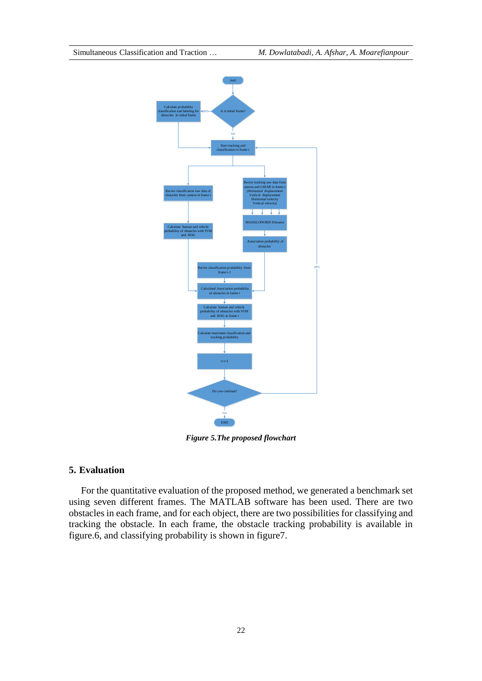

*Figure 5.The proposed flowchart*

### **5. Evaluation**

 For the quantitative evaluation of the proposed method, we generated a benchmark set using seven different frames. The MATLAB software has been used. There are two obstacles in each frame, and for each object, there are two possibilities for classifying and tracking the obstacle. In each frame, the obstacle tracking probability is available in figure.6, and classifying probability is shown in figure7.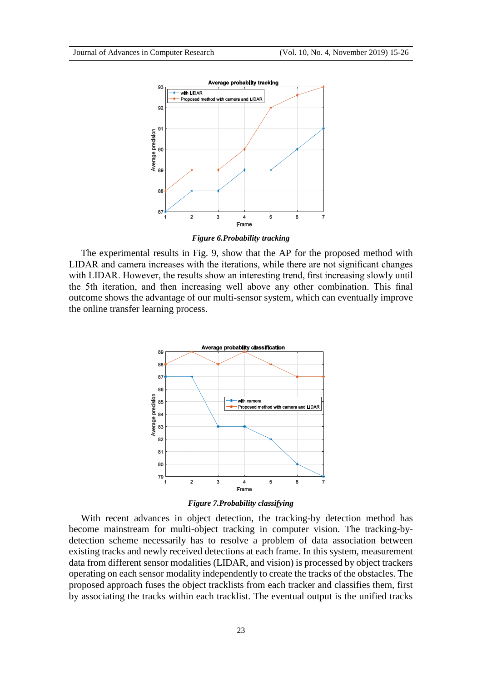

*Figure 6.Probability tracking*

 The experimental results in Fig. 9, show that the AP for the proposed method with LIDAR and camera increases with the iterations, while there are not significant changes with LIDAR. However, the results show an interesting trend, first increasing slowly until the 5th iteration, and then increasing well above any other combination. This final outcome shows the advantage of our multi-sensor system, which can eventually improve the online transfer learning process.



*Figure 7.Probability classifying*

 With recent advances in object detection, the tracking-by detection method has become mainstream for multi-object tracking in computer vision. The tracking-bydetection scheme necessarily has to resolve a problem of data association between existing tracks and newly received detections at each frame. In this system, measurement data from different sensor modalities (LIDAR, and vision) is processed by object trackers operating on each sensor modality independently to create the tracks of the obstacles. The proposed approach fuses the object tracklists from each tracker and classifies them, first by associating the tracks within each tracklist. The eventual output is the unified tracks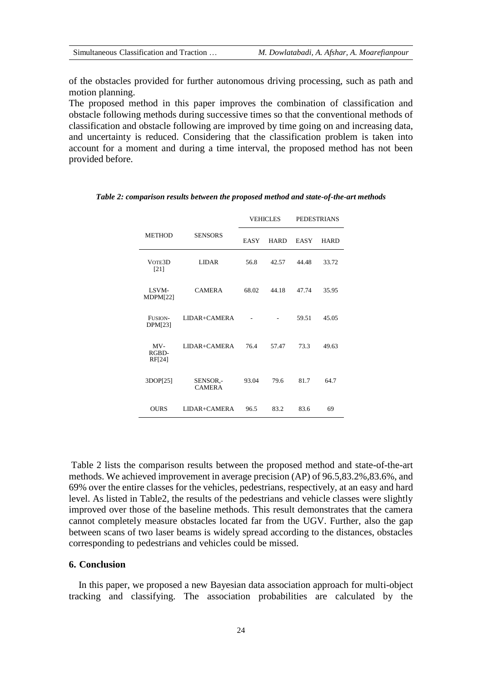of the obstacles provided for further autonomous driving processing, such as path and motion planning.

The proposed method in this paper improves the combination of classification and obstacle following methods during successive times so that the conventional methods of classification and obstacle following are improved by time going on and increasing data, and uncertainty is reduced. Considering that the classification problem is taken into account for a moment and during a time interval, the proposed method has not been provided before.

|                                 |                           | <b>VEHICLES</b> |             | <b>PEDESTRIANS</b> |             |
|---------------------------------|---------------------------|-----------------|-------------|--------------------|-------------|
| <b>METHOD</b>                   | <b>SENSORS</b>            | <b>EASY</b>     | <b>HARD</b> | <b>EASY</b>        | <b>HARD</b> |
| VOTE3D<br>[21]                  | <b>LIDAR</b>              | 56.8            | 42.57       | 44.48              | 33.72       |
| LSVM-<br>MDPM[22]               | <b>CAMERA</b>             | 68.02           | 44.18       | 47.74              | 35.95       |
| FUSION-<br>DPM[23]              | LIDAR+CAMERA              |                 |             | 59.51              | 45.05       |
| $MV-$<br>RGBD-<br><b>RF[24]</b> | LIDAR+CAMERA              | 76.4            | 57.47       | 73.3               | 49.63       |
| 3DOP[25]                        | SENSOR,-<br><b>CAMERA</b> | 93.04           | 79.6        | 81.7               | 64.7        |
| <b>OURS</b>                     | LIDAR+CAMERA              | 96.5            | 83.2        | 83.6               | 69          |

*Table 2: comparison results between the proposed method and state-of-the-art methods*

Table 2 lists the comparison results between the proposed method and state-of-the-art methods. We achieved improvement in average precision (AP) of 96.5,83.2%,83.6%, and 69% over the entire classes for the vehicles, pedestrians, respectively, at an easy and hard level. As listed in Table2, the results of the pedestrians and vehicle classes were slightly improved over those of the baseline methods. This result demonstrates that the camera cannot completely measure obstacles located far from the UGV. Further, also the gap between scans of two laser beams is widely spread according to the distances, obstacles corresponding to pedestrians and vehicles could be missed.

#### **6. Conclusion**

 In this paper, we proposed a new Bayesian data association approach for multi-object tracking and classifying. The association probabilities are calculated by the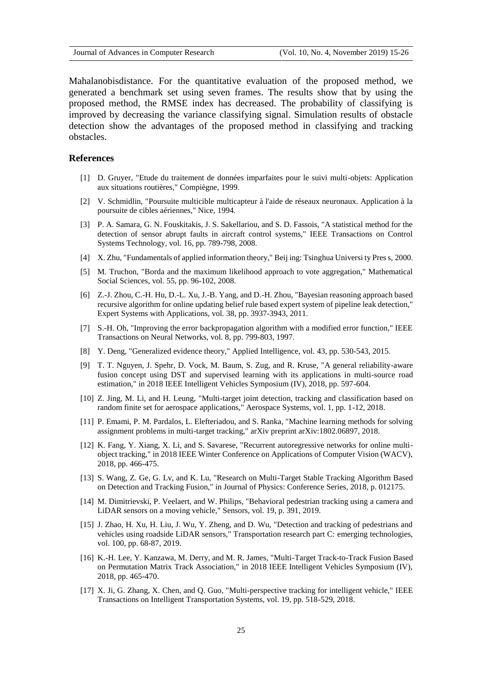Mahalanobisdistance. For the quantitative evaluation of the proposed method, we generated a benchmark set using seven frames. The results show that by using the proposed method, the RMSE index has decreased. The probability of classifying is improved by decreasing the variance classifying signal. Simulation results of obstacle detection show the advantages of the proposed method in classifying and tracking obstacles.

#### **References**

- [1] D. Gruyer, "Etude du traitement de données imparfaites pour le suivi multi-objets: Application aux situations routières," Compiègne, 1999.
- [2] V. Schmidlin, "Poursuite multicible multicapteur à l'aide de réseaux neuronaux. Application à la poursuite de cibles aériennes," Nice, 1994.
- [3] P. A. Samara, G. N. Fouskitakis, J. S. Sakellariou, and S. D. Fassois, "A statistical method for the detection of sensor abrupt faults in aircraft control systems," IEEE Transactions on Control Systems Technology, vol. 16, pp. 789-798, 2008.
- [4] X. Zhu, "Fundamentals of applied information theory," Beij ing: Tsinghua Universi ty Pres s, 2000.
- [5] M. Truchon, "Borda and the maximum likelihood approach to vote aggregation," Mathematical Social Sciences, vol. 55, pp. 96-102, 2008.
- [6] Z.-J. Zhou, C.-H. Hu, D.-L. Xu, J.-B. Yang, and D.-H. Zhou, "Bayesian reasoning approach based recursive algorithm for online updating belief rule based expert system of pipeline leak detection," Expert Systems with Applications, vol. 38, pp. 3937-3943, 2011.
- [7] S.-H. Oh, "Improving the error backpropagation algorithm with a modified error function," IEEE Transactions on Neural Networks, vol. 8, pp. 799-803, 1997.
- [8] Y. Deng, "Generalized evidence theory," Applied Intelligence, vol. 43, pp. 530-543, 2015.
- [9] T. T. Nguyen, J. Spehr, D. Vock, M. Baum, S. Zug, and R. Kruse, "A general reliability-aware fusion concept using DST and supervised learning with its applications in multi-source road estimation," in 2018 IEEE Intelligent Vehicles Symposium (IV), 2018, pp. 597-604.
- [10] Z. Jing, M. Li, and H. Leung, "Multi-target joint detection, tracking and classification based on random finite set for aerospace applications," Aerospace Systems, vol. 1, pp. 1-12, 2018.
- [11] P. Emami, P. M. Pardalos, L. Elefteriadou, and S. Ranka, "Machine learning methods for solving assignment problems in multi-target tracking," arXiv preprint arXiv:1802.06897, 2018.
- [12] K. Fang, Y. Xiang, X. Li, and S. Savarese, "Recurrent autoregressive networks for online multiobject tracking," in 2018 IEEE Winter Conference on Applications of Computer Vision (WACV), 2018, pp. 466-475.
- [13] S. Wang, Z. Ge, G. Lv, and K. Lu, "Research on Multi-Target Stable Tracking Algorithm Based on Detection and Tracking Fusion," in Journal of Physics: Conference Series, 2018, p. 012175.
- [14] M. Dimitrievski, P. Veelaert, and W. Philips, "Behavioral pedestrian tracking using a camera and LiDAR sensors on a moving vehicle," Sensors, vol. 19, p. 391, 2019.
- [15] J. Zhao, H. Xu, H. Liu, J. Wu, Y. Zheng, and D. Wu, "Detection and tracking of pedestrians and vehicles using roadside LiDAR sensors," Transportation research part C: emerging technologies, vol. 100, pp. 68-87, 2019.
- [16] K.-H. Lee, Y. Kanzawa, M. Derry, and M. R. James, "Multi-Target Track-to-Track Fusion Based on Permutation Matrix Track Association," in 2018 IEEE Intelligent Vehicles Symposium (IV), 2018, pp. 465-470.
- [17] X. Ji, G. Zhang, X. Chen, and Q. Guo, "Multi-perspective tracking for intelligent vehicle," IEEE Transactions on Intelligent Transportation Systems, vol. 19, pp. 518-529, 2018.